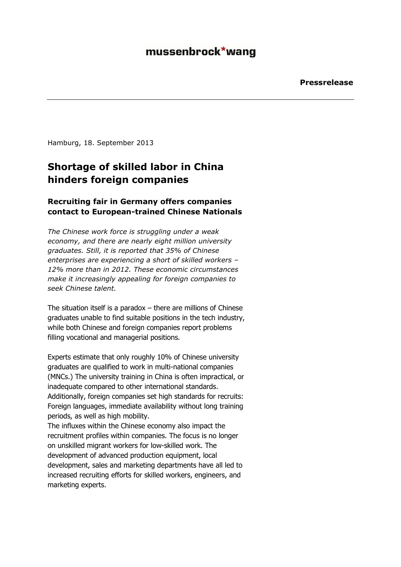#### mussenbrock\*wang

Hamburg, 18. September 2013

## **Shortage of skilled labor in China hinders foreign companies**

#### **Recruiting fair in Germany offers companies contact to European-trained Chinese Nationals**

*The Chinese work force is struggling under a weak economy, and there are nearly eight million university graduates. Still, it is reported that 35% of Chinese enterprises are experiencing a short of skilled workers – 12% more than in 2012. These economic circumstances make it increasingly appealing for foreign companies to seek Chinese talent.*

The situation itself is a paradox  $-$  there are millions of Chinese graduates unable to find suitable positions in the tech industry, while both Chinese and foreign companies report problems filling vocational and managerial positions.

Experts estimate that only roughly 10% of Chinese university graduates are qualified to work in multi-national companies (MNCs.) The university training in China is often impractical, or inadequate compared to other international standards. Additionally, foreign companies set high standards for recruits: Foreign languages, immediate availability without long training periods, as well as high mobility. The influxes within the Chinese economy also impact the recruitment profiles within companies. The focus is no longer on unskilled migrant workers for low-skilled work. The development of advanced production equipment, local development, sales and marketing departments have all led to increased recruiting efforts for skilled workers, engineers, and marketing experts.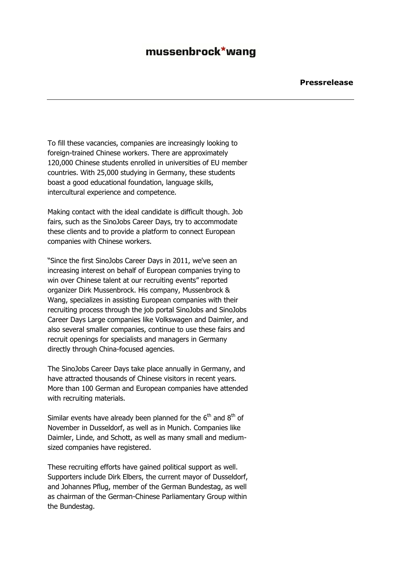### mussenbrock\*wang

To fill these vacancies, companies are increasingly looking to foreign-trained Chinese workers. There are approximately 120,000 Chinese students enrolled in universities of EU member countries. With 25,000 studying in Germany, these students boast a good educational foundation, language skills, intercultural experience and competence.

Making contact with the ideal candidate is difficult though. Job fairs, such as the SinoJobs Career Days, try to accommodate these clients and to provide a platform to connect European companies with Chinese workers.

"Since the first SinoJobs Career Days in 2011, we've seen an increasing interest on behalf of European companies trying to win over Chinese talent at our recruiting events" reported organizer Dirk Mussenbrock. His company, Mussenbrock & Wang, specializes in assisting European companies with their recruiting process through the job portal SinoJobs and SinoJobs Career Days Large companies like Volkswagen and Daimler, and also several smaller companies, continue to use these fairs and recruit openings for specialists and managers in Germany directly through China-focused agencies.

The SinoJobs Career Days take place annually in Germany, and have attracted thousands of Chinese visitors in recent years. More than 100 German and European companies have attended with recruiting materials.

Similar events have already been planned for the  $6<sup>th</sup>$  and  $8<sup>th</sup>$  of November in Dusseldorf, as well as in Munich. Companies like Daimler, Linde, and Schott, as well as many small and mediumsized companies have registered.

These recruiting efforts have gained political support as well. Supporters include Dirk Elbers, the current mayor of Dusseldorf, and Johannes Pflug, member of the German Bundestag, as well as chairman of the German-Chinese Parliamentary Group within the Bundestag.